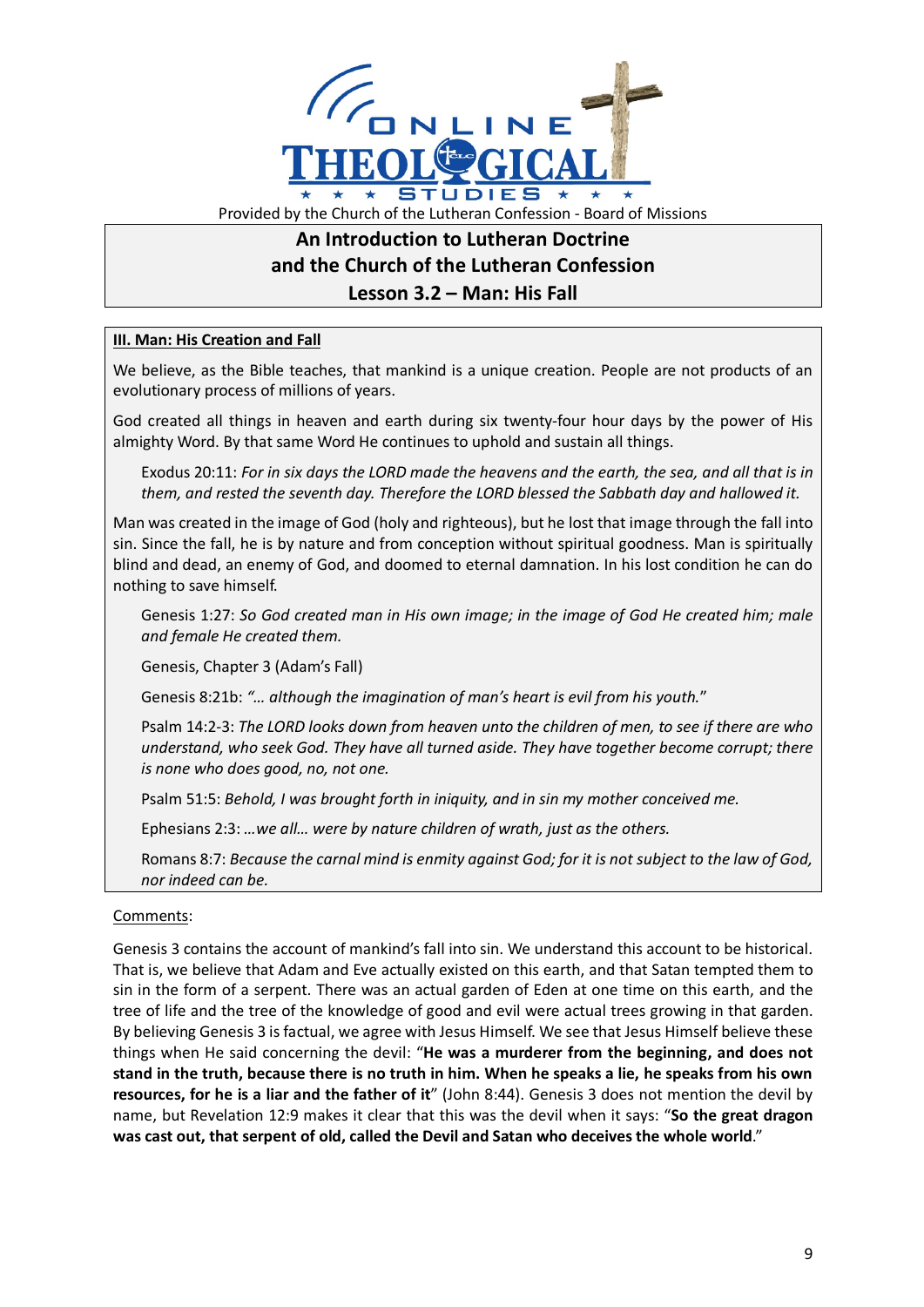

## **An Introduction to Lutheran Doctrine and the Church of the Lutheran Confession Lesson 3.2 – Man: His Fall**

## **III. Man: His Creation and Fall**

We believe, as the Bible teaches, that mankind is a unique creation. People are not products of an evolutionary process of millions of years.

God created all things in heaven and earth during six twenty-four hour days by the power of His almighty Word. By that same Word He continues to uphold and sustain all things.

Exodus 20:11: *For in six days the LORD made the heavens and the earth, the sea, and all that is in them, and rested the seventh day. Therefore the LORD blessed the Sabbath day and hallowed it.*

Man was created in the image of God (holy and righteous), but he lost that image through the fall into sin. Since the fall, he is by nature and from conception without spiritual goodness. Man is spiritually blind and dead, an enemy of God, and doomed to eternal damnation. In his lost condition he can do nothing to save himself.

Genesis 1:27: *So God created man in His own image; in the image of God He created him; male and female He created them.*

Genesis, Chapter 3 (Adam's Fall)

Genesis 8:21b: *"… although the imagination of man's heart is evil from his youth.*"

Psalm 14:2-3: *The LORD looks down from heaven unto the children of men, to see if there are who understand, who seek God. They have all turned aside. They have together become corrupt; there is none who does good, no, not one.*

Psalm 51:5: *Behold, I was brought forth in iniquity, and in sin my mother conceived me.*

Ephesians 2:3: *…we all… were by nature children of wrath, just as the others.*

Romans 8:7: *Because the carnal mind is enmity against God; for it is not subject to the law of God, nor indeed can be.*

## Comments:

Genesis 3 contains the account of mankind's fall into sin. We understand this account to be historical. That is, we believe that Adam and Eve actually existed on this earth, and that Satan tempted them to sin in the form of a serpent. There was an actual garden of Eden at one time on this earth, and the tree of life and the tree of the knowledge of good and evil were actual trees growing in that garden. By believing Genesis 3 is factual, we agree with Jesus Himself. We see that Jesus Himself believe these things when He said concerning the devil: "**He was a murderer from the beginning, and does not stand in the truth, because there is no truth in him. When he speaks a lie, he speaks from his own resources, for he is a liar and the father of it**" (John 8:44). Genesis 3 does not mention the devil by name, but Revelation 12:9 makes it clear that this was the devil when it says: "**So the great dragon was cast out, that serpent of old, called the Devil and Satan who deceives the whole world**."